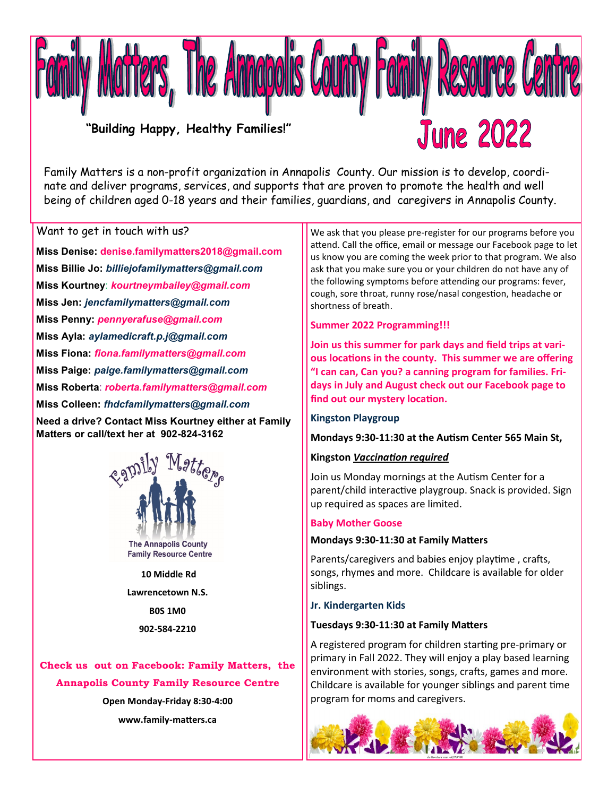

Family Matters is a non-profit organization in Annapolis County. Our mission is to develop, coordinate and deliver programs, services, and supports that are proven to promote the health and well being of children aged 0-18 years and their families, guardians, and caregivers in Annapolis County.

### Want to get in touch with us?

**Miss Denise: denise.familymatters2018@gmail.com Miss Billie Jo:** *billiejofamilymatters@gmail.com* **Miss Kourtney**: *kourtneymbailey@gmail.com* **Miss Jen:** *jencfamilymatters@gmail.com* **Miss Penny:** *pennyerafuse@gmail.com* **Miss Ayla:** *aylamedicraft.p.j@gmail.com* **Miss Fiona:** *fiona.familymatters@gmail.com* **Miss Paige:** *paige.familymatters@gmail.com* **Miss Roberta**: *roberta.familymatters@gmail.com* **Miss Colleen:** *fhdcfamilymatters@gmail.com* **Need a drive? Contact Miss Kourtney either at Family Matters or call/text her at 902-824-3162**



**Family Resource Centre** 

**10 Middle Rd** 

**Lawrencetown N.S.**

#### **B0S 1M0**

**902-584-2210**

# **Check us out on Facebook: Family Matters, the Annapolis County Family Resource Centre**

**Open Monday-Friday 8:30-4:00**

**www.family-matters.ca**

We ask that you please pre-register for our programs before you attend. Call the office, email or message our Facebook page to let us know you are coming the week prior to that program. We also ask that you make sure you or your children do not have any of the following symptoms before attending our programs: fever, cough, sore throat, runny rose/nasal congestion, headache or shortness of breath.

### **Summer 2022 Programming!!!**

**Join us this summer for park days and field trips at various locations in the county. This summer we are offering "I can can, Can you? a canning program for families. Fridays in July and August check out our Facebook page to find out our mystery location.** 

#### **Kingston Playgroup**

**Mondays 9:30-11:30 at the Autism Center 565 Main St,** 

# **Kingston** *Vaccination required*

Join us Monday mornings at the Autism Center for a parent/child interactive playgroup. Snack is provided. Sign up required as spaces are limited.

# **Baby Mother Goose**

# **Mondays 9:30-11:30 at Family Matters**

Parents/caregivers and babies enjoy playtime , crafts, songs, rhymes and more. Childcare is available for older siblings.

# **Jr. Kindergarten Kids**

# **Tuesdays 9:30-11:30 at Family Matters**

A registered program for children starting pre-primary or primary in Fall 2022. They will enjoy a play based learning environment with stories, songs, crafts, games and more. Childcare is available for younger siblings and parent time program for moms and caregivers.